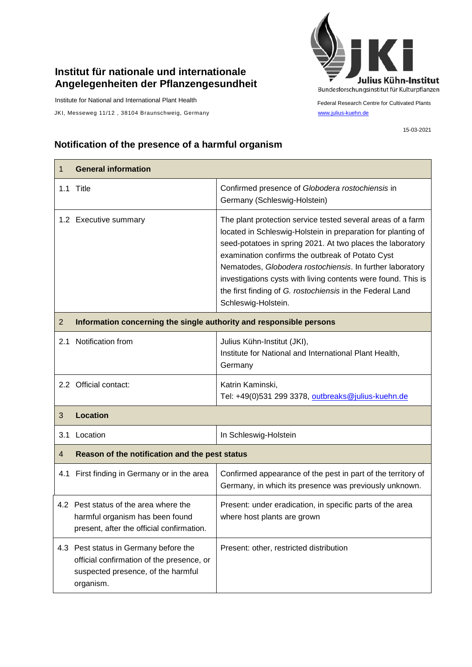## **Institut für nationale und internationale Angelegenheiten der Pflanzengesundheit**

Institute for National and International Plant Health

JKI, Messeweg 11/12, 38104 Braunschweig, Germany [www.julius-kuehn.de](http://www.julius-kuehn.de/)



Federal Research Centre for Cultivated Plants

## **Notification of the presence of a harmful organism**

| 1              | <b>General information</b>                                                                                                            |                                                                                                                                                                                                                                                                                                                                                                                                                                                                 |  |
|----------------|---------------------------------------------------------------------------------------------------------------------------------------|-----------------------------------------------------------------------------------------------------------------------------------------------------------------------------------------------------------------------------------------------------------------------------------------------------------------------------------------------------------------------------------------------------------------------------------------------------------------|--|
| 1.1            | Title                                                                                                                                 | Confirmed presence of Globodera rostochiensis in<br>Germany (Schleswig-Holstein)                                                                                                                                                                                                                                                                                                                                                                                |  |
|                | 1.2 Executive summary                                                                                                                 | The plant protection service tested several areas of a farm<br>located in Schleswig-Holstein in preparation for planting of<br>seed-potatoes in spring 2021. At two places the laboratory<br>examination confirms the outbreak of Potato Cyst<br>Nematodes, Globodera rostochiensis. In further laboratory<br>investigations cysts with living contents were found. This is<br>the first finding of G. rostochiensis in the Federal Land<br>Schleswig-Holstein. |  |
| $\overline{2}$ | Information concerning the single authority and responsible persons                                                                   |                                                                                                                                                                                                                                                                                                                                                                                                                                                                 |  |
| 2.1            | Notification from                                                                                                                     | Julius Kühn-Institut (JKI),<br>Institute for National and International Plant Health,<br>Germany                                                                                                                                                                                                                                                                                                                                                                |  |
|                | 2.2 Official contact:                                                                                                                 | Katrin Kaminski,<br>Tel: +49(0)531 299 3378, outbreaks@julius-kuehn.de                                                                                                                                                                                                                                                                                                                                                                                          |  |
| 3              | <b>Location</b>                                                                                                                       |                                                                                                                                                                                                                                                                                                                                                                                                                                                                 |  |
| 3.1            | Location                                                                                                                              | In Schleswig-Holstein                                                                                                                                                                                                                                                                                                                                                                                                                                           |  |
| 4              | Reason of the notification and the pest status                                                                                        |                                                                                                                                                                                                                                                                                                                                                                                                                                                                 |  |
| 4.1            | First finding in Germany or in the area                                                                                               | Confirmed appearance of the pest in part of the territory of<br>Germany, in which its presence was previously unknown.                                                                                                                                                                                                                                                                                                                                          |  |
|                | 4.2 Pest status of the area where the<br>harmful organism has been found<br>present, after the official confirmation.                 | Present: under eradication, in specific parts of the area<br>where host plants are grown                                                                                                                                                                                                                                                                                                                                                                        |  |
|                | 4.3 Pest status in Germany before the<br>official confirmation of the presence, or<br>suspected presence, of the harmful<br>organism. | Present: other, restricted distribution                                                                                                                                                                                                                                                                                                                                                                                                                         |  |

15-03-2021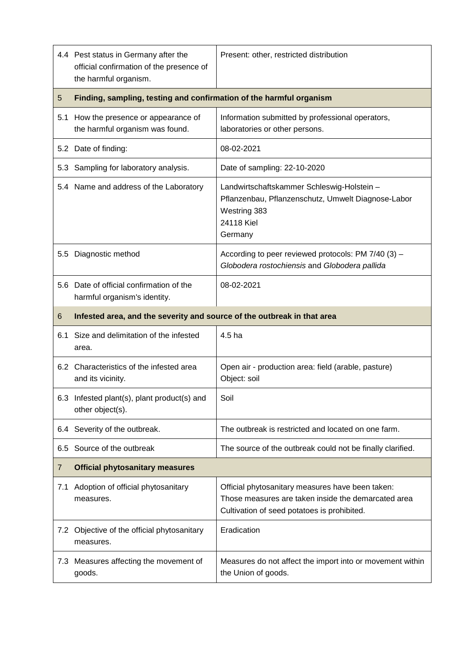|          | 4.4 Pest status in Germany after the<br>official confirmation of the presence of<br>the harmful organism. | Present: other, restricted distribution                                                                                                                |  |
|----------|-----------------------------------------------------------------------------------------------------------|--------------------------------------------------------------------------------------------------------------------------------------------------------|--|
| 5        | Finding, sampling, testing and confirmation of the harmful organism                                       |                                                                                                                                                        |  |
| 5.1      | How the presence or appearance of<br>the harmful organism was found.                                      | Information submitted by professional operators,<br>laboratories or other persons.                                                                     |  |
|          | 5.2 Date of finding:                                                                                      | 08-02-2021                                                                                                                                             |  |
|          | 5.3 Sampling for laboratory analysis.                                                                     | Date of sampling: 22-10-2020                                                                                                                           |  |
|          | 5.4 Name and address of the Laboratory                                                                    | Landwirtschaftskammer Schleswig-Holstein -<br>Pflanzenbau, Pflanzenschutz, Umwelt Diagnose-Labor<br>Westring 383<br>24118 Kiel<br>Germany              |  |
| 5.5      | Diagnostic method                                                                                         | According to peer reviewed protocols: PM 7/40 (3) -<br>Globodera rostochiensis and Globodera pallida                                                   |  |
| 5.6      | Date of official confirmation of the<br>harmful organism's identity.                                      | 08-02-2021                                                                                                                                             |  |
| 6        | Infested area, and the severity and source of the outbreak in that area                                   |                                                                                                                                                        |  |
| 6.1      | Size and delimitation of the infested<br>area.                                                            | 4.5 ha                                                                                                                                                 |  |
|          | 6.2 Characteristics of the infested area<br>and its vicinity.                                             | Open air - production area: field (arable, pasture)<br>Object: soil                                                                                    |  |
|          | 6.3 Infested plant(s), plant product(s) and<br>other object(s).                                           | Soil                                                                                                                                                   |  |
|          | 6.4 Severity of the outbreak.                                                                             | The outbreak is restricted and located on one farm.                                                                                                    |  |
| 6.5      | Source of the outbreak                                                                                    | The source of the outbreak could not be finally clarified.                                                                                             |  |
| 7        | <b>Official phytosanitary measures</b>                                                                    |                                                                                                                                                        |  |
| 7.1      | Adoption of official phytosanitary<br>measures.                                                           | Official phytosanitary measures have been taken:<br>Those measures are taken inside the demarcated area<br>Cultivation of seed potatoes is prohibited. |  |
| $\sim$ 2 | Objective of the official phytosanitary<br>measures.                                                      | Eradication                                                                                                                                            |  |
|          | 7.3 Measures affecting the movement of<br>goods.                                                          | Measures do not affect the import into or movement within<br>the Union of goods.                                                                       |  |